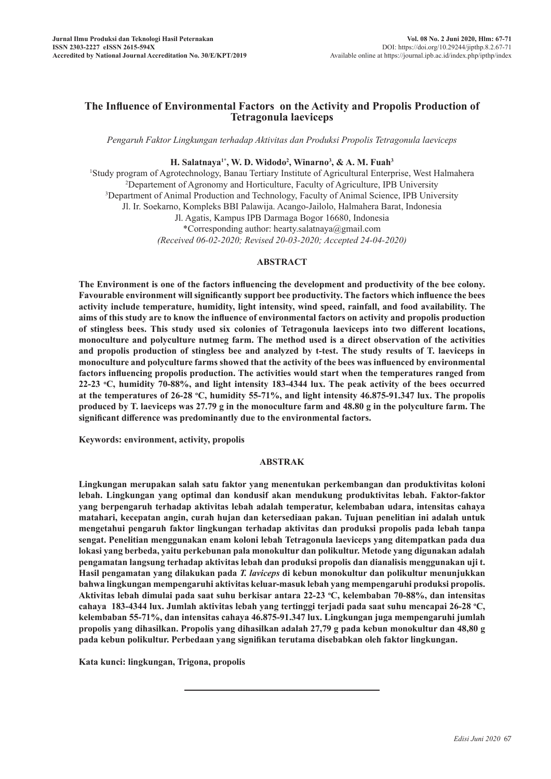# **The Influence of Environmental Factors on the Activity and Propolis Production of Tetragonula laeviceps**

*Pengaruh Faktor Lingkungan terhadap Aktivitas dan Produksi Propolis Tetragonula laeviceps*

## **H. Salatnaya1\*, W. D. Widodo2 , Winarno3 , & A. M. Fuah<sup>3</sup>**

<sup>1</sup>Study program of Agrotechnology, Banau Tertiary Institute of Agricultural Enterprise, West Halmahera<br><sup>2</sup> Departement of Agronomy and Horticulture, Eaculty of Agriculture, IPB University Departement of Agronomy and Horticulture, Faculty of Agriculture, IPB University 3 <sup>3</sup>Department of Animal Production and Technology, Faculty of Animal Science, IPB University Jl. Ir. Soekarno, Kompleks BBI Palawija. Acango-Jailolo, Halmahera Barat, Indonesia Jl. Agatis, Kampus IPB Darmaga Bogor 16680, Indonesia \*Corresponding author: hearty.salatnaya@gmail.com *(Received 06-02-2020; Revised 20-03-2020; Accepted 24-04-2020)*

### **ABSTRACT**

**The Environment is one of the factors influencing the development and productivity of the bee colony. Favourable environment will significantly support bee productivity. The factors which influence the bees activity include temperature, humidity, light intensity, wind speed, rainfall, and food availability. The aims of this study are to know the influence of environmental factors on activity and propolis production of stingless bees. This study used six colonies of Tetragonula laeviceps into two different locations, monoculture and polyculture nutmeg farm. The method used is a direct observation of the activities and propolis production of stingless bee and analyzed by t-test. The study results of T. laeviceps in monoculture and polyculture farms showed that the activity of the bees was influenced by environmental factors influencing propolis production. The activities would start when the temperatures ranged from 22-23 o C, humidity 70-88%, and light intensity 183-4344 lux. The peak activity of the bees occurred at the temperatures of 26-28 <sup>o</sup> C, humidity 55-71%, and light intensity 46.875-91.347 lux. The propolis produced by T. laeviceps was 27.79 g in the monoculture farm and 48.80 g in the polyculture farm. The significant difference was predominantly due to the environmental factors.**

**Keywords: environment, activity, propolis**

## **ABSTRAK**

**Lingkungan merupakan salah satu faktor yang menentukan perkembangan dan produktivitas koloni lebah. Lingkungan yang optimal dan kondusif akan mendukung produktivitas lebah. Faktor-faktor yang berpengaruh terhadap aktivitas lebah adalah temperatur, kelembaban udara, intensitas cahaya matahari, kecepatan angin, curah hujan dan ketersediaan pakan. Tujuan penelitian ini adalah untuk mengetahui pengaruh faktor lingkungan terhadap aktivitas dan produksi propolis pada lebah tanpa sengat. Penelitian menggunakan enam koloni lebah Tetragonula laeviceps yang ditempatkan pada dua lokasi yang berbeda, yaitu perkebunan pala monokultur dan polikultur. Metode yang digunakan adalah pengamatan langsung terhadap aktivitas lebah dan produksi propolis dan dianalisis menggunakan uji t. Hasil pengamatan yang dilakukan pada** *T. laviceps* **di kebun monokultur dan polikultur menunjukkan bahwa lingkungan mempengaruhi aktivitas keluar-masuk lebah yang mempengaruhi produksi propolis. Aktivitas lebah dimulai pada saat suhu berkisar antara 22-23 <sup>o</sup> C, kelembaban 70-88%, dan intensitas cahaya 183-4344 lux. Jumlah aktivitas lebah yang tertinggi terjadi pada saat suhu mencapai 26-28 <sup>o</sup> C, kelembaban 55-71%, dan intensitas cahaya 46.875-91.347 lux. Lingkungan juga mempengaruhi jumlah propolis yang dihasilkan. Propolis yang dihasilkan adalah 27,79 g pada kebun monokultur dan 48,80 g pada kebun polikultur. Perbedaan yang signifikan terutama disebabkan oleh faktor lingkungan.**

**Kata kunci: lingkungan, Trigona, propolis**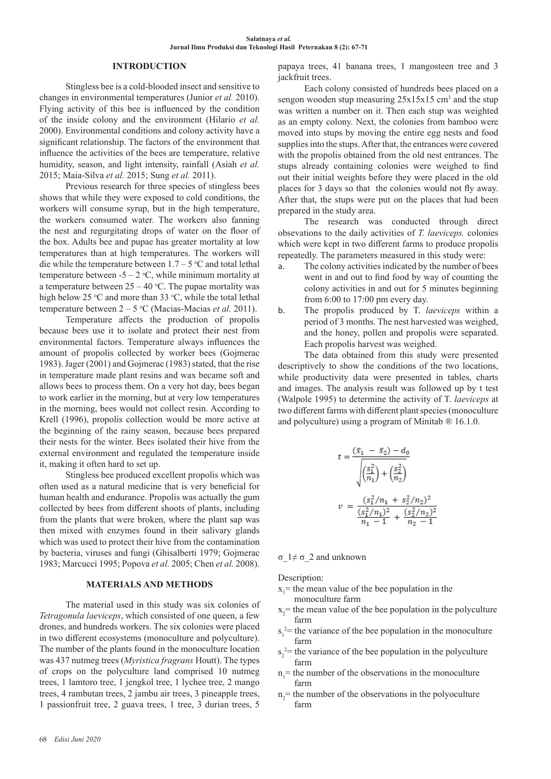## **INTRODUCTION**

Stingless bee is a cold-blooded insect and sensitive to changes in environmental temperatures (Junior *et al.* 2010). Flying activity of this bee is influenced by the condition of the inside colony and the environment (Hilario *et al.* 2000). Environmental conditions and colony activity have a significant relationship. The factors of the environment that influence the activities of the bees are temperature, relative humidity, season, and light intensity, rainfall (Asiah *et al.* 2015; Maia-Silva *et al.* 2015; Sung *et al.* 2011).

Previous research for three species of stingless bees shows that while they were exposed to cold conditions, the workers will consume syrup, but in the high temperature, the workers consumed water. The workers also fanning the nest and regurgitating drops of water on the floor of the box. Adults bee and pupae has greater mortality at low temperatures than at high temperatures. The workers will die while the temperature between  $1.7 - 5$  °C and total lethal temperature between  $-5 - 2$  °C, while minimum mortality at a temperature between  $25 - 40$  °C. The pupae mortality was high below 25 °C and more than 33 °C, while the total lethal temperature between  $2 - 5$  °C (Macias-Macias *et al.* 2011).

Temperature affects the production of propolis because bees use it to isolate and protect their nest from environmental factors. Temperature always influences the amount of propolis collected by worker bees (Gojmerac 1983). Jager (2001) and Gojmerac (1983) stated, that the rise in temperature made plant resins and wax became soft and allows bees to process them. On a very hot day, bees began to work earlier in the morning, but at very low temperatures in the morning, bees would not collect resin. According to Krell (1996), propolis collection would be more active at the beginning of the rainy season, because bees prepared their nests for the winter. Bees isolated their hive from the external environment and regulated the temperature inside it, making it often hard to set up.

Stingless bee produced excellent propolis which was often used as a natural medicine that is very beneficial for human health and endurance. Propolis was actually the gum collected by bees from different shoots of plants, including from the plants that were broken, where the plant sap was then mixed with enzymes found in their salivary glands which was used to protect their hive from the contamination by bacteria, viruses and fungi (Ghisalberti 1979; Gojmerac 1983; Marcucci 1995; Popova *et al.* 2005; Chen *et al.* 2008).

## **MATERIALS AND METHODS**

The material used in this study was six colonies of *Tetragonula laeviceps*, which consisted of one queen, a few drones, and hundreds workers. The six colonies were placed in two different ecosystems (monoculture and polyculture). The number of the plants found in the monoculture location was 437 nutmeg trees (*Myristica fragrans* Houtt). The types of crops on the polyculture land comprised 10 nutmeg trees, 1 lamtoro tree, 1 jengkol tree, 1 lychee tree, 2 mango trees, 4 rambutan trees, 2 jambu air trees, 3 pineapple trees, 1 passionfruit tree, 2 guava trees, 1 tree, 3 durian trees, 5

papaya trees, 41 banana trees, 1 mangosteen tree and 3 jackfruit trees.

Each colony consisted of hundreds bees placed on a sengon wooden stup measuring  $25x15x15$  cm<sup>3</sup> and the stup was written a number on it. Then each stup was weighted as an empty colony. Next, the colonies from bamboo were moved into stups by moving the entire egg nests and food supplies into the stups. After that, the entrances were covered with the propolis obtained from the old nest entrances. The stups already containing colonies were weighed to find out their initial weights before they were placed in the old places for 3 days so that the colonies would not fly away. After that, the stups were put on the places that had been prepared in the study area.

The research was conducted through direct obsevations to the daily activities of *T. laeviceps.* colonies which were kept in two different farms to produce propolis repeatedly. The parameters measured in this study were:

- a. The colony activities indicated by the number of bees went in and out to find food by way of counting the colony activities in and out for 5 minutes beginning from 6:00 to 17:00 pm every day.
- b. The propolis produced by T. *laeviceps* within a period of 3 months. The nest harvested was weighed, and the honey, pollen and propolis were separated. Each propolis harvest was weighed.

The data obtained from this study were presented descriptively to show the conditions of the two locations, while productivity data were presented in tables, charts and images. The analysis result was followed up by t test (Walpole 1995) to determine the activity of T. *laeviceps* at two different farms with different plant species (monoculture and polyculture) using a program of Minitab ® 16.1.0.

$$
t = \frac{(\bar{x}_1 - \bar{x}_2) - d_0}{\sqrt{\left(\frac{s_1^2}{n_1}\right) + \left(\frac{s_2^2}{n_2}\right)}}
$$

$$
v = \frac{(s_1^2/n_1 + s_2^2/n_2)^2}{\frac{(s_1^2/n_1)^2}{n_1 - 1} + \frac{(s_2^2/n_2)^2}{n_2 - 1}}
$$

σ\_1≠ σ\_2 and unknown

Description:

- $x_1$  = the mean value of the bee population in the monoculture farm
- $x_2$  = the mean value of the bee population in the polyculture farm
- $s_1^2$  the variance of the bee population in the monoculture farm
- $s_2^2$ = the variance of the bee population in the polyculture farm
- $n_1$ = the number of the observations in the monoculture farm
- $n_2$ = the number of the observations in the polyoculture farm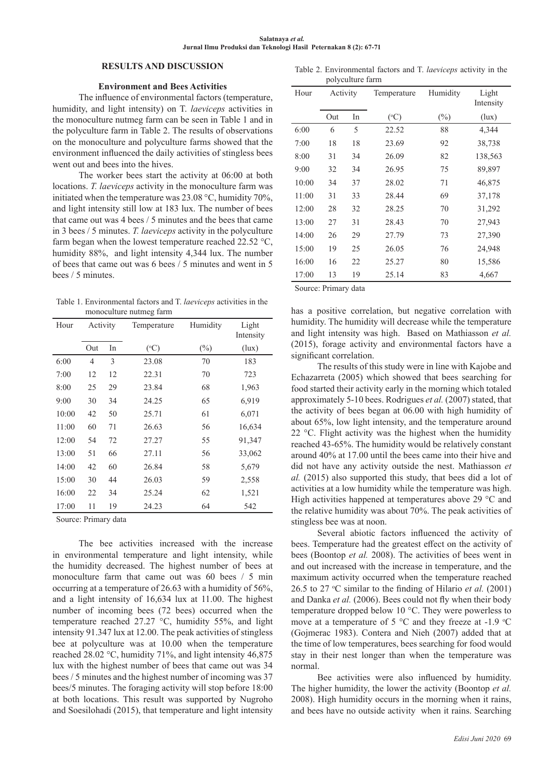#### **Salatnaya** *et al.*  **Jurnal Ilmu Produksi dan Teknologi Hasil Peternakan 8 (2): 67-71**

## **RESULTS AND DISCUSSION**

## **Environment and Bees Activities**

The influence of environmental factors (temperature, humidity, and light intensity) on T. *laeviceps* activities in the monoculture nutmeg farm can be seen in Table 1 and in the polyculture farm in Table 2. The results of observations on the monoculture and polyculture farms showed that the environment influenced the daily activities of stingless bees went out and bees into the hives.

The worker bees start the activity at 06:00 at both locations. *T. laeviceps* activity in the monoculture farm was initiated when the temperature was 23.08 °C, humidity 70%, and light intensity still low at 183 lux. The number of bees that came out was 4 bees / 5 minutes and the bees that came in 3 bees / 5 minutes. *T. laeviceps* activity in the polyculture farm began when the lowest temperature reached 22.52 °C, humidity 88%, and light intensity 4,344 lux. The number of bees that came out was 6 bees / 5 minutes and went in 5 bees / 5 minutes.

Table 1. Environmental factors and T. *laeviceps* activities in the monoculture nutmeg farm

| Hour  | Activity |    | Temperature | Humidity | Light<br>Intensity |
|-------|----------|----|-------------|----------|--------------------|
|       | Out      | In | (°C)        | $(\%)$   | (lux)              |
| 6:00  | 4        | 3  | 23.08       | 70       | 183                |
| 7:00  | 12       | 12 | 22.31       | 70       | 723                |
| 8:00  | 25       | 29 | 23.84       | 68       | 1,963              |
| 9:00  | 30       | 34 | 24.25       | 65       | 6,919              |
| 10:00 | 42       | 50 | 25.71       | 61       | 6,071              |
| 11:00 | 60       | 71 | 26.63       | 56       | 16,634             |
| 12:00 | 54       | 72 | 27.27       | 55       | 91,347             |
| 13:00 | 51       | 66 | 27.11       | 56       | 33,062             |
| 14:00 | 42       | 60 | 26.84       | 58       | 5,679              |
| 15:00 | 30       | 44 | 26.03       | 59       | 2,558              |
| 16:00 | 22       | 34 | 25.24       | 62       | 1,521              |
| 17:00 | 11       | 19 | 24.23       | 64       | 542                |

Source: Primary data

The bee activities increased with the increase in environmental temperature and light intensity, while the humidity decreased. The highest number of bees at monoculture farm that came out was 60 bees / 5 min occurring at a temperature of 26.63 with a humidity of 56%, and a light intensity of 16,634 lux at 11.00. The highest number of incoming bees (72 bees) occurred when the temperature reached 27.27 °C, humidity 55%, and light intensity 91.347 lux at 12.00. The peak activities of stingless bee at polyculture was at 10.00 when the temperature reached 28.02 °C, humidity 71%, and light intensity 46,875 lux with the highest number of bees that came out was 34 bees / 5 minutes and the highest number of incoming was 37 bees/5 minutes. The foraging activity will stop before 18:00 at both locations. This result was supported by Nugroho and Soesilohadi (2015), that temperature and light intensity

Table 2. Environmental factors and T. *laeviceps* activity in the polyculture farm

| Hour  | Activity |    | Temperature     | Humidity | Light<br>Intensity |
|-------|----------|----|-----------------|----------|--------------------|
|       | Out      | In | $({}^{\circ}C)$ | $(\%)$   | (lux)              |
| 6:00  | 6        | 5  | 22.52           | 88       | 4,344              |
| 7:00  | 18       | 18 | 23.69           | 92       | 38,738             |
| 8:00  | 31       | 34 | 26.09           | 82       | 138,563            |
| 9:00  | 32       | 34 | 26.95           | 75       | 89,897             |
| 10:00 | 34       | 37 | 28.02           | 71       | 46,875             |
| 11:00 | 31       | 33 | 28.44           | 69       | 37,178             |
| 12:00 | 28       | 32 | 28.25           | 70       | 31,292             |
| 13:00 | 27       | 31 | 28.43           | 70       | 27,943             |
| 14:00 | 26       | 29 | 27.79           | 73       | 27,390             |
| 15:00 | 19       | 25 | 26.05           | 76       | 24,948             |
| 16:00 | 16       | 22 | 25.27           | 80       | 15,586             |
| 17:00 | 13       | 19 | 25.14           | 83       | 4,667              |

Source: Primary data

has a positive correlation, but negative correlation with humidity. The humidity will decrease while the temperature and light intensity was high. Based on Mathiasson *et al.*  (2015), forage activity and environmental factors have a significant correlation.

The results of this study were in line with Kajobe and Echazarreta (2005) which showed that bees searching for food started their activity early in the morning which totaled approximately 5-10 bees. Rodrigues *et al.* (2007) stated, that the activity of bees began at 06.00 with high humidity of about 65%, low light intensity, and the temperature around 22 °C. Flight activity was the highest when the humidity reached 43-65%. The humidity would be relatively constant around 40% at 17.00 until the bees came into their hive and did not have any activity outside the nest. Mathiasson *et al.* (2015) also supported this study, that bees did a lot of activities at a low humidity while the temperature was high. High activities happened at temperatures above 29 °C and the relative humidity was about 70%. The peak activities of stingless bee was at noon.

Several abiotic factors influenced the activity of bees. Temperature had the greatest effect on the activity of bees (Boontop *et al.* 2008). The activities of bees went in and out increased with the increase in temperature, and the maximum activity occurred when the temperature reached 26.5 to 27 °C similar to the finding of Hilario *et al.* (2001) and Danka *et al.* (2006). Bees could not fly when their body temperature dropped below 10 °C. They were powerless to move at a temperature of 5  $\degree$ C and they freeze at -1.9  $\degree$ C (Gojmerac 1983). Contera and Nieh (2007) added that at the time of low temperatures, bees searching for food would stay in their nest longer than when the temperature was normal.

Bee activities were also influenced by humidity. The higher humidity, the lower the activity (Boontop *et al.* 2008). High humidity occurs in the morning when it rains, and bees have no outside activity when it rains. Searching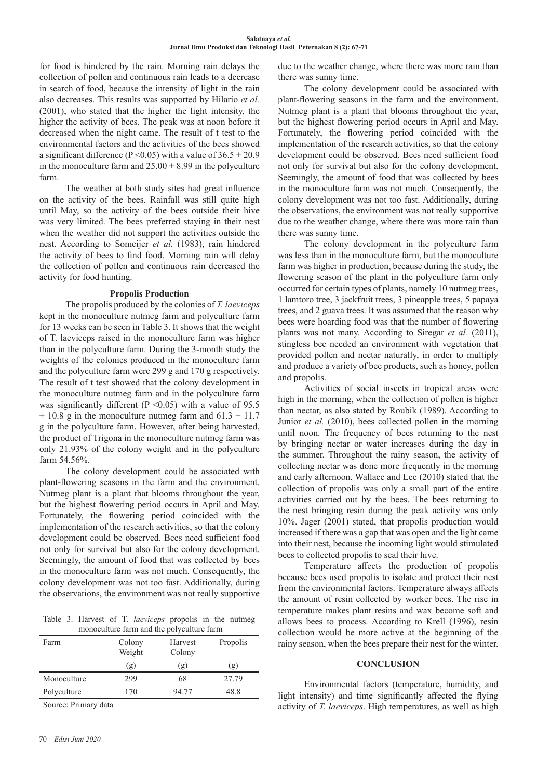#### **Salatnaya** *et al.*  **Jurnal Ilmu Produksi dan Teknologi Hasil Peternakan 8 (2): 67-71**

for food is hindered by the rain. Morning rain delays the collection of pollen and continuous rain leads to a decrease in search of food, because the intensity of light in the rain also decreases. This results was supported by Hilario *et al.* (2001), who stated that the higher the light intensity, the higher the activity of bees. The peak was at noon before it decreased when the night came. The result of t test to the environmental factors and the activities of the bees showed a significant difference (P < 0.05) with a value of  $36.5 + 20.9$ in the monoculture farm and  $25.00 + 8.99$  in the polyculture farm.

The weather at both study sites had great influence on the activity of the bees. Rainfall was still quite high until May, so the activity of the bees outside their hive was very limited. The bees preferred staying in their nest when the weather did not support the activities outside the nest. According to Someijer *et al.* (1983), rain hindered the activity of bees to find food. Morning rain will delay the collection of pollen and continuous rain decreased the activity for food hunting.

#### **Propolis Production**

The propolis produced by the colonies of *T. laeviceps* kept in the monoculture nutmeg farm and polyculture farm for 13 weeks can be seen in Table 3. It shows that the weight of T. laeviceps raised in the monoculture farm was higher than in the polyculture farm. During the 3-month study the weights of the colonies produced in the monoculture farm and the polyculture farm were 299 g and 170 g respectively. The result of t test showed that the colony development in the monoculture nutmeg farm and in the polyculture farm was significantly different ( $P \le 0.05$ ) with a value of 95.5  $+ 10.8$  g in the monoculture nutmeg farm and  $61.3 + 11.7$ g in the polyculture farm. However, after being harvested, the product of Trigona in the monoculture nutmeg farm was only 21.93% of the colony weight and in the polyculture farm 54.56%.

The colony development could be associated with plant-flowering seasons in the farm and the environment. Nutmeg plant is a plant that blooms throughout the year, but the highest flowering period occurs in April and May. Fortunately, the flowering period coincided with the implementation of the research activities, so that the colony development could be observed. Bees need sufficient food not only for survival but also for the colony development. Seemingly, the amount of food that was collected by bees in the monoculture farm was not much. Consequently, the colony development was not too fast. Additionally, during the observations, the environment was not really supportive

Table 3. Harvest of T. *laeviceps* propolis in the nutmeg monoculture farm and the polyculture farm

| Farm        | Colony<br>Weight | Harvest<br>Colony | Propolis |
|-------------|------------------|-------------------|----------|
|             | (g)              | (g)               | (g)      |
| Monoculture | 299              | 68                | 27.79    |
| Polyculture | 170              | 94.77             | 48.8     |
|             |                  |                   |          |

Source: Primary data

due to the weather change, where there was more rain than there was sunny time.

The colony development could be associated with plant-flowering seasons in the farm and the environment. Nutmeg plant is a plant that blooms throughout the year, but the highest flowering period occurs in April and May. Fortunately, the flowering period coincided with the implementation of the research activities, so that the colony development could be observed. Bees need sufficient food not only for survival but also for the colony development. Seemingly, the amount of food that was collected by bees in the monoculture farm was not much. Consequently, the colony development was not too fast. Additionally, during the observations, the environment was not really supportive due to the weather change, where there was more rain than there was sunny time.

The colony development in the polyculture farm was less than in the monoculture farm, but the monoculture farm was higher in production, because during the study, the flowering season of the plant in the polyculture farm only occurred for certain types of plants, namely 10 nutmeg trees, 1 lamtoro tree, 3 jackfruit trees, 3 pineapple trees, 5 papaya trees, and 2 guava trees. It was assumed that the reason why bees were hoarding food was that the number of flowering plants was not many. According to Siregar et al. (2011), stingless bee needed an environment with vegetation that provided pollen and nectar naturally, in order to multiply and produce a variety of bee products, such as honey, pollen and propolis.

Activities of social insects in tropical areas were high in the morning, when the collection of pollen is higher than nectar, as also stated by Roubik (1989). According to Junior *et al.* (2010), bees collected pollen in the morning until noon. The frequency of bees returning to the nest by bringing nectar or water increases during the day in the summer. Throughout the rainy season, the activity of collecting nectar was done more frequently in the morning and early afternoon. Wallace and Lee (2010) stated that the collection of propolis was only a small part of the entire activities carried out by the bees. The bees returning to the nest bringing resin during the peak activity was only 10%. Jager (2001) stated, that propolis production would increased if there was a gap that was open and the light came into their nest, because the incoming light would stimulated bees to collected propolis to seal their hive.

Temperature affects the production of propolis because bees used propolis to isolate and protect their nest from the environmental factors. Temperature always affects the amount of resin collected by worker bees. The rise in temperature makes plant resins and wax become soft and allows bees to process. According to Krell (1996), resin collection would be more active at the beginning of the rainy season, when the bees prepare their nest for the winter.

#### **CONCLUSION**

Environmental factors (temperature, humidity, and light intensity) and time significantly affected the flying activity of *T. laeviceps*. High temperatures, as well as high